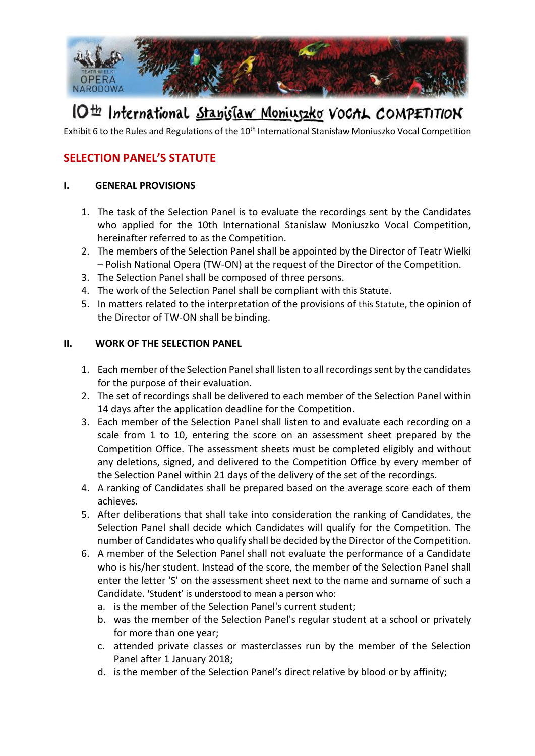

# IO<sup>th</sup> International Stanislaw Moniuszko VoCAL COMPETITION

Exhibit 6 to the Rules and Regulations of the 10<sup>th</sup> International Stanisław Moniuszko Vocal Competition

### **SELECTION PANEL'S STATUTE**

#### **I. GENERAL PROVISIONS**

- 1. The task of the Selection Panel is to evaluate the recordings sent by the Candidates who applied for the 10th International Stanislaw Moniuszko Vocal Competition, hereinafter referred to as the Competition.
- 2. The members of the Selection Panel shall be appointed by the Director of Teatr Wielki – Polish National Opera (TW-ON) at the request of the Director of the Competition.
- 3. The Selection Panel shall be composed of three persons.
- 4. The work of the Selection Panel shall be compliant with this Statute.
- 5. In matters related to the interpretation of the provisions of this Statute, the opinion of the Director of TW-ON shall be binding.

#### **II. WORK OF THE SELECTION PANEL**

- 1. Each member of the Selection Panel shall listen to all recordings sent by the candidates for the purpose of their evaluation.
- 2. The set of recordings shall be delivered to each member of the Selection Panel within 14 days after the application deadline for the Competition.
- 3. Each member of the Selection Panel shall listen to and evaluate each recording on a scale from 1 to 10, entering the score on an assessment sheet prepared by the Competition Office. The assessment sheets must be completed eligibly and without any deletions, signed, and delivered to the Competition Office by every member of the Selection Panel within 21 days of the delivery of the set of the recordings.
- 4. A ranking of Candidates shall be prepared based on the average score each of them achieves.
- 5. After deliberations that shall take into consideration the ranking of Candidates, the Selection Panel shall decide which Candidates will qualify for the Competition. The number of Candidates who qualify shall be decided by the Director of the Competition.
- 6. A member of the Selection Panel shall not evaluate the performance of a Candidate who is his/her student. Instead of the score, the member of the Selection Panel shall enter the letter 'S' on the assessment sheet next to the name and surname of such a Candidate. 'Student' is understood to mean a person who:
	- a. is the member of the Selection Panel's current student;
	- b. was the member of the Selection Panel's regular student at a school or privately for more than one year;
	- c. attended private classes or masterclasses run by the member of the Selection Panel after 1 January 2018;
	- d. is the member of the Selection Panel's direct relative by blood or by affinity;